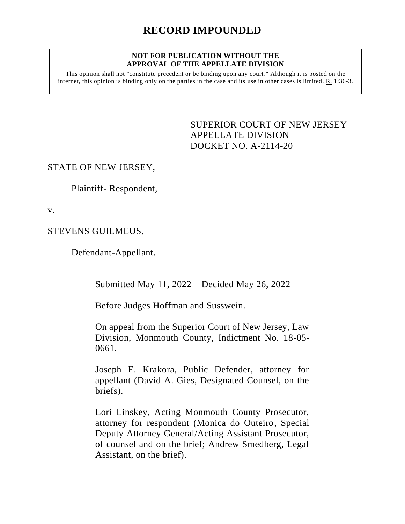## **NOT FOR PUBLICATION WITHOUT THE APPROVAL OF THE APPELLATE DIVISION**

This opinion shall not "constitute precedent or be binding upon any court." Although it is posted on the internet, this opinion is binding only on the parties in the case and its use in other cases is limited. R. 1:36-3.

> <span id="page-0-0"></span>SUPERIOR COURT OF NEW JERSEY APPELLATE DIVISION DOCKET NO. A-2114-20

## STATE OF NEW JERSEY,

Plaintiff- Respondent,

v.

STEVENS GUILMEUS,

Defendant-Appellant.

\_\_\_\_\_\_\_\_\_\_\_\_\_\_\_\_\_\_\_\_\_\_\_\_

Submitted May 11, 2022 – Decided May 26, 2022

Before Judges Hoffman and Susswein.

On appeal from the Superior Court of New Jersey, Law Division, Monmouth County, Indictment No. 18-05- 0661.

Joseph E. Krakora, Public Defender, attorney for appellant (David A. Gies, Designated Counsel, on the briefs).

Lori Linskey, Acting Monmouth County Prosecutor, attorney for respondent (Monica do Outeiro, Special Deputy Attorney General/Acting Assistant Prosecutor, of counsel and on the brief; Andrew Smedberg, Legal Assistant, on the brief).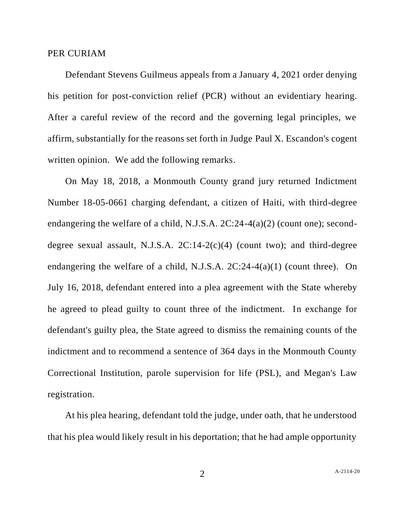## PER CURIAM

 Defendant Stevens Guilmeus appeals from a January 4, 2021 order denying his petition for post-conviction relief (PCR) without an evidentiary hearing. After a careful review of the record and the governing legal principles, we affirm, substantially for the reasons set forth in Judge Paul X. Escandon's cogent written opinion. We add the following remarks.

 On May 18, 2018, a Monmouth County grand jury returned Indictment Number 18-05-0661 charging defendant, a citizen of Haiti, with third-degree endangering the welfare of a child, N.J.S.A. 2C:24-4(a)(2) (count one); seconddegree sexual assault, N.J.S.A. 2C:14-2(c)(4) (count two); and third-degree endangering the welfare of a child, N.J.S.A. 2C:24-4(a)(1) (count three). On July 16, 2018, defendant entered into a plea agreement with the State whereby he agreed to plead guilty to count three of the indictment. In exchange for defendant's guilty plea, the State agreed to dismiss the remaining counts of the indictment and to recommend a sentence of 364 days in the Monmouth County Correctional Institution, parole supervision for life (PSL), and Megan's Law registration.

 At his plea hearing, defendant told the judge, under oath, that he understood that his plea would likely result in his deportation; that he had ample opportunity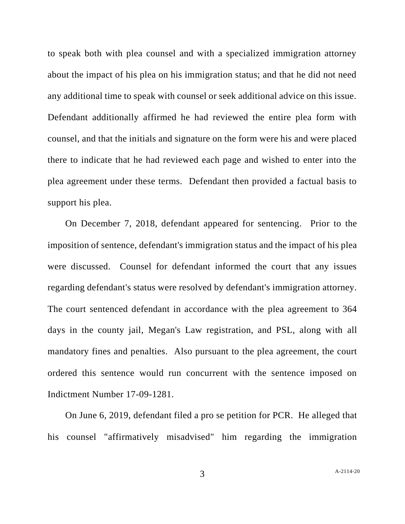to speak both with plea counsel and with a specialized immigration attorney about the impact of his plea on his immigration status; and that he did not need any additional time to speak with counsel or seek additional advice on this issue. Defendant additionally affirmed he had reviewed the entire plea form with counsel, and that the initials and signature on the form were his and were placed there to indicate that he had reviewed each page and wished to enter into the plea agreement under these terms. Defendant then provided a factual basis to support his plea.

 On December 7, 2018, defendant appeared for sentencing. Prior to the imposition of sentence, defendant's immigration status and the impact of his plea were discussed. Counsel for defendant informed the court that any issues regarding defendant's status were resolved by defendant's immigration attorney. The court sentenced defendant in accordance with the plea agreement to 364 days in the county jail, Megan's Law registration, and PSL, along with all mandatory fines and penalties. Also pursuant to the plea agreement, the court ordered this sentence would run concurrent with the sentence imposed on Indictment Number 17-09-1281.

 On June 6, 2019, defendant filed a pro se petition for PCR. He alleged that his counsel "affirmatively misadvised" him regarding the immigration

3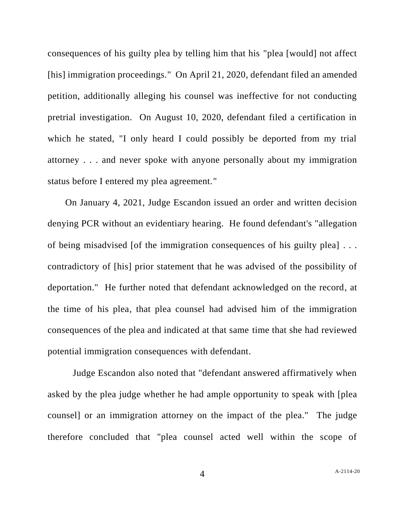consequences of his guilty plea by telling him that his "plea [would] not affect [his] immigration proceedings." On April 21, 2020, defendant filed an amended petition, additionally alleging his counsel was ineffective for not conducting pretrial investigation. On August 10, 2020, defendant filed a certification in which he stated, "I only heard I could possibly be deported from my trial attorney . . . and never spoke with anyone personally about my immigration status before I entered my plea agreement."

 On January 4, 2021, Judge Escandon issued an order and written decision denying PCR without an evidentiary hearing. He found defendant's "allegation of being misadvised [of the immigration consequences of his guilty plea] . . . contradictory of [his] prior statement that he was advised of the possibility of deportation." He further noted that defendant acknowledged on the record, at the time of his plea, that plea counsel had advised him of the immigration consequences of the plea and indicated at that same time that she had reviewed potential immigration consequences with defendant.

 Judge Escandon also noted that "defendant answered affirmatively when asked by the plea judge whether he had ample opportunity to speak with [plea counsel] or an immigration attorney on the impact of the plea." The judge therefore concluded that "plea counsel acted well within the scope of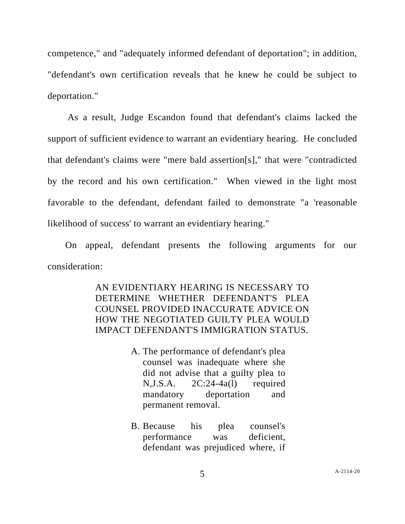competence," and "adequately informed defendant of deportation"; in addition, "defendant's own certification reveals that he knew he could be subject to deportation."

 As a result, Judge Escandon found that defendant's claims lacked the support of sufficient evidence to warrant an evidentiary hearing. He concluded that defendant's claims were "mere bald assertion[s]," that were "contradicted by the record and his own certification." When viewed in the light most favorable to the defendant, defendant failed to demonstrate "a 'reasonable likelihood of success' to warrant an evidentiary hearing."

 On appeal, defendant presents the following arguments for our consideration:

> AN EVIDENTIARY HEARING IS NECESSARY TO DETERMINE WHETHER DEFENDANT'S PLEA COUNSEL PROVIDED INACCURATE ADVICE ON HOW THE NEGOTIATED GUILTY PLEA WOULD IMPACT DEFENDANT'S IMMIGRATION STATUS.

- A. The performance of defendant's plea counsel was inadequate where she did not advise that a guilty plea to N,J.S.A. 2C:24-4a(l) required mandatory deportation and permanent removal.
- B. Because his plea counsel's performance was deficient, defendant was prejudiced where, if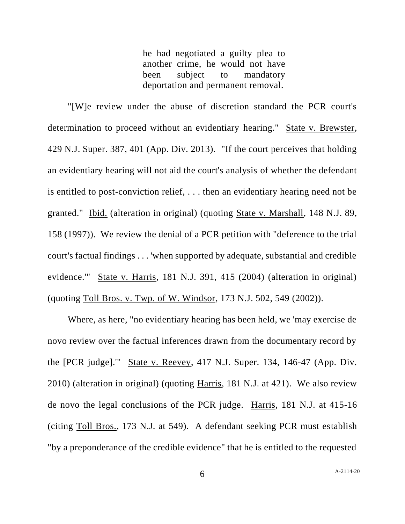he had negotiated a guilty plea to another crime, he would not have been subject to mandatory deportation and permanent removal.

 "[W]e review under the abuse of discretion standard the PCR court's determination to proceed without an evidentiary hearing." State v. Brewster, 429 N.J. Super. 387, 401 (App. Div. 2013). "If the court perceives that holding an evidentiary hearing will not aid the court's analysis of whether the defendant is entitled to post-conviction relief, . . . then an evidentiary hearing need not be granted." Ibid. (alteration in original) (quoting State v. Marshall, 148 N.J. 89, 158 (1997)). We review the denial of a PCR petition with "deference to the trial court's factual findings . . . 'when supported by adequate, substantial and credible evidence.'" State v. Harris, 181 N.J. 391, 415 (2004) (alteration in original) (quoting Toll Bros. v. Twp. of W. Windsor, 173 N.J. 502, 549 (2002)).

 Where, as here, "no evidentiary hearing has been held, we 'may exercise de novo review over the factual inferences drawn from the documentary record by the [PCR judge].'" State v. Reevey, 417 N.J. Super. 134, 146-47 (App. Div. 2010) (alteration in original) (quoting Harris, 181 N.J. at 421). We also review de novo the legal conclusions of the PCR judge. Harris, 181 N.J. at 415-16 (citing Toll Bros., 173 N.J. at 549). A defendant seeking PCR must establish "by a preponderance of the credible evidence" that he is entitled to the requested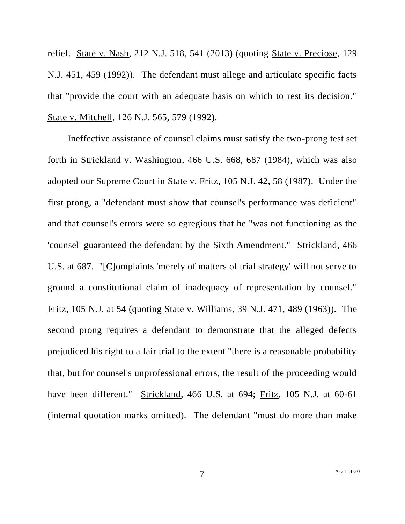relief. State v. Nash, 212 N.J. 518, 541 (2013) (quoting State v. Preciose, 129 N.J. 451, 459 (1992)). The defendant must allege and articulate specific facts that "provide the court with an adequate basis on which to rest its decision." State v. Mitchell, 126 N.J. 565, 579 (1992).

 Ineffective assistance of counsel claims must satisfy the two-prong test set forth in Strickland v. Washington, 466 U.S. 668, 687 (1984), which was also adopted our Supreme Court in State v. Fritz, 105 N.J. 42, 58 (1987). Under the first prong, a "defendant must show that counsel's performance was deficient" and that counsel's errors were so egregious that he "was not functioning as the 'counsel' guaranteed the defendant by the Sixth Amendment." Strickland, 466 U.S. at 687. "[C]omplaints 'merely of matters of trial strategy' will not serve to ground a constitutional claim of inadequacy of representation by counsel." Fritz, 105 N.J. at 54 (quoting State v. Williams, 39 N.J. 471, 489 (1963)). The second prong requires a defendant to demonstrate that the alleged defects prejudiced his right to a fair trial to the extent "there is a reasonable probability that, but for counsel's unprofessional errors, the result of the proceeding would have been different." Strickland, 466 U.S. at 694; Fritz, 105 N.J. at 60-61 (internal quotation marks omitted). The defendant "must do more than make